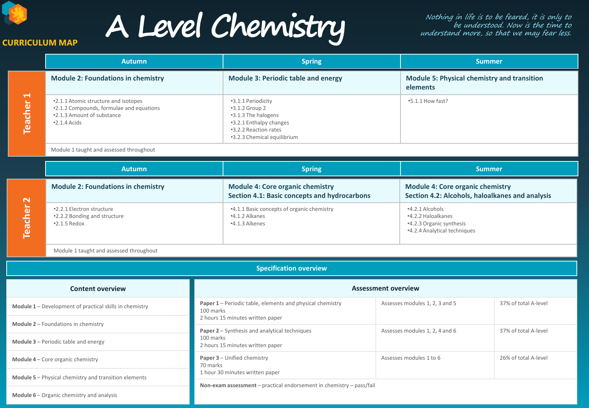**CURRICULUM MAP**

# **A Level Chemistry**

Nothing in life is to be feared, it is only to be understood. Now is the time to understand more, so that we may fear less.

|                                         | <b>Autumn</b>                                                                                                                         | <b>Spring</b>                                                                                                                                    | <b>Summer</b>                                                  |
|-----------------------------------------|---------------------------------------------------------------------------------------------------------------------------------------|--------------------------------------------------------------------------------------------------------------------------------------------------|----------------------------------------------------------------|
| $\blacktriangleright$<br><b>Teacher</b> | <b>Module 2: Foundations in chemistry</b>                                                                                             | <b>Module 3: Periodic table and energy</b>                                                                                                       | <b>Module 5: Physical chemistry and transition</b><br>elements |
|                                         | .2.1.1 Atomic structure and isotopes<br>.2.1.2 Compounds, formulae and equations<br>.2.1.3 Amount of substance<br>$\cdot$ 2.1.4 Acids | •3.1.1 Periodicity<br>$-3.1.2$ Group 2<br>•3.1.3 The halogens<br>•3.2.1 Enthalpy changes<br>.3.2.2 Reaction rates<br>•3.2.3 Chemical equilibrium | $-5.1.1$ How fast?                                             |

## Module 1 taught and assessed throughout

|                           | <b>Autumn</b>                                                                    | <b>Spring</b>                                                                           | <b>Summer</b>                                                                                       |  |
|---------------------------|----------------------------------------------------------------------------------|-----------------------------------------------------------------------------------------|-----------------------------------------------------------------------------------------------------|--|
| $\mathbf{\sim}$<br>eacher | <b>Module 2: Foundations in chemistry</b>                                        | <b>Module 4: Core organic chemistry</b><br>Section 4.1: Basic concepts and hydrocarbons | <b>Module 4: Core organic chemistry</b><br>Section 4.2: Alcohols, haloalkanes and analysis          |  |
|                           | .2.2.1 Electron structure<br>.2.2.2 Bonding and structure<br>$\cdot$ 2.1.5 Redox | .4.1.1 Basic concepts of organic chemistry<br>•4.1.2 Alkanes<br>$-4.1.3$ Alkenes        | $-4.2.1$ Alcohols<br>•4.2.2 Haloalkanes<br>•4.2.3 Organic synthesis<br>.4.2.4 Analytical techniques |  |

Module 1 taught and assessed throughout

| <b>Specification overview</b>                                                                                    |                                                                                                                   |                                |                      |
|------------------------------------------------------------------------------------------------------------------|-------------------------------------------------------------------------------------------------------------------|--------------------------------|----------------------|
| <b>Content overview</b>                                                                                          | <b>Assessment overview</b>                                                                                        |                                |                      |
| <b>Module 1</b> – Development of practical skills in chemistry                                                   | <b>Paper 1</b> – Periodic table, elements and physical chemistry<br>100 marks<br>2 hours 15 minutes written paper | Assesses modules 1, 2, 3 and 5 | 37% of total A-level |
| <b>Module 2</b> – Foundations in chemistry<br><b>Module 3</b> – Periodic table and energy                        | <b>Paper 2</b> – Synthesis and analytical techniques<br>100 marks<br>2 hours 15 minutes written paper             | Assesses modules 1, 2, 4 and 6 | 37% of total A-level |
| <b>Module 4</b> – Core organic chemistry                                                                         | <b>Paper 3</b> - Unified chemistry<br>70 marks<br>1 hour 30 minutes written paper                                 | Assesses modules 1 to 6        | 26% of total A-level |
| <b>Module 5</b> – Physical chemistry and transition elements<br><b>Module 6</b> – Organic chemistry and analysis | Non-exam assessment - practical endorsement in chemistry - pass/fail                                              |                                |                      |